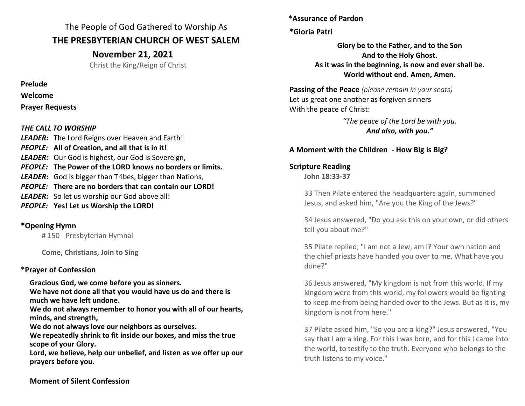The People of God Gathered to Worship As **THE PRESBYTERIAN CHURCH OF WEST SALEM**

**November 21, 2021**

Christ the King/Reign of Christ

**Prelude**

**Welcome**

**Prayer Requests**

#### *THE CALL TO WORSHIP*

*LEADER:* The Lord Reigns over Heaven and Earth! *PEOPLE:* **All of Creation, and all that is in it!** *LEADER:* Our God is highest, our God is Sovereign, *PEOPLE:* **The Power of the LORD knows no borders or limits.** *LEADER:* God is bigger than Tribes, bigger than Nations, *PEOPLE:* **There are no borders that can contain our LORD!** *LEADER:* So let us worship our God above all! *PEOPLE:* **Yes! Let us Worship the LORD!**

### \***Opening Hymn**

# 150 Presbyterian Hymnal

**Come, Christians, Join to Sing**

### **\*Prayer of Confession**

**Gracious God, we come before you as sinners.** 

**We have not done all that you would have us do and there is much we have left undone.** 

**We do not always remember to honor you with all of our hearts, minds, and strength,** 

**We do not always love our neighbors as ourselves.** 

**We repeatedly shrink to fit inside our boxes, and miss the true scope of your Glory.** 

**Lord, we believe, help our unbelief, and listen as we offer up our prayers before you.** 

**\*Assurance of Pardon**

### **\*Gloria Patri**

**Glory be to the Father, and to the Son And to the Holy Ghost. As it was in the beginning, is now and ever shall be. World without end. Amen, Amen.**

**Passing of the Peace** *(please remain in your seats)* Let us great one another as forgiven sinners With the peace of Christ:

> *"The peace of the Lord be with you. And also, with you."*

## **A Moment with the Children - How Big is Big?**

## **Scripture Reading**

**John 18:33-37**

33 Then Pilate entered the headquarters again, summoned Jesus, and asked him, "Are you the King of the Jews?"

34 Jesus answered, "Do you ask this on your own, or did others tell you about me?"

35 Pilate replied, "I am not a Jew, am I? Your own nation and the chief priests have handed you over to me. What have you done?"

36 Jesus answered, "My kingdom is not from this world. If my kingdom were from this world, my followers would be fighting to keep me from being handed over to the Jews. But as it is, my kingdom is not from here."

37 Pilate asked him, "So you are a king?" Jesus answered, "You say that I am a king. For this I was born, and for this I came into the world, to testify to the truth. Everyone who belongs to the truth listens to my voice."

**Moment of Silent Confession**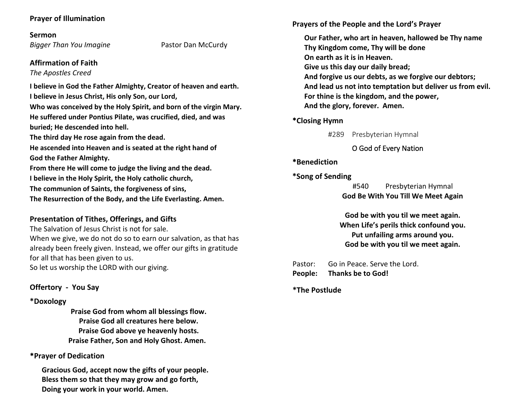#### **Prayer of Illumination**

**Sermon**

*Bigger Than You Imagine* Pastor Dan McCurdy

#### **Affirmation of Faith**

*The Apostles Creed*

**I believe in God the Father Almighty, Creator of heaven and earth. I believe in Jesus Christ, His only Son, our Lord,**

**Who was conceived by the Holy Spirit, and born of the virgin Mary. He suffered under Pontius Pilate, was crucified, died, and was buried; He descended into hell.** 

**The third day He rose again from the dead.**

**He ascended into Heaven and is seated at the right hand of God the Father Almighty.**

**From there He will come to judge the living and the dead.**

**I believe in the Holy Spirit, the Holy catholic church,** 

**The communion of Saints, the forgiveness of sins,** 

**The Resurrection of the Body, and the Life Everlasting. Amen.**

#### **Presentation of Tithes, Offerings, and Gifts**

The Salvation of Jesus Christ is not for sale.

When we give, we do not do so to earn our salvation, as that has already been freely given. Instead, we offer our gifts in gratitude for all that has been given to us.

So let us worship the LORD with our giving.

#### **Offertory - You Say**

#### **\*Doxology**

**Praise God from whom all blessings flow. Praise God all creatures here below. Praise God above ye heavenly hosts. Praise Father, Son and Holy Ghost. Amen.**

#### \***Prayer of Dedication**

**Gracious God, accept now the gifts of your people. Bless them so that they may grow and go forth, Doing your work in your world. Amen.**

**Prayers of the People and the Lord's Prayer**

**Our Father, who art in heaven, hallowed be Thy name Thy Kingdom come, Thy will be done On earth as it is in Heaven. Give us this day our daily bread; And forgive us our debts, as we forgive our debtors; And lead us not into temptation but deliver us from evil. For thine is the kingdom, and the power, And the glory, forever. Amen.**

#### \***Closing Hymn**

#289 Presbyterian Hymnal

#### O God of Every Nation

#### \***Benediction**

#### **\*Song of Sending**

#540 Presbyterian Hymnal **God Be With You Till We Meet Again** 

**God be with you til we meet again. When Life's perils thick confound you. Put unfailing arms around you. God be with you til we meet again.** 

Pastor: Go in Peace. Serve the Lord. **People: Thanks be to God!**

**\*The Postlude**